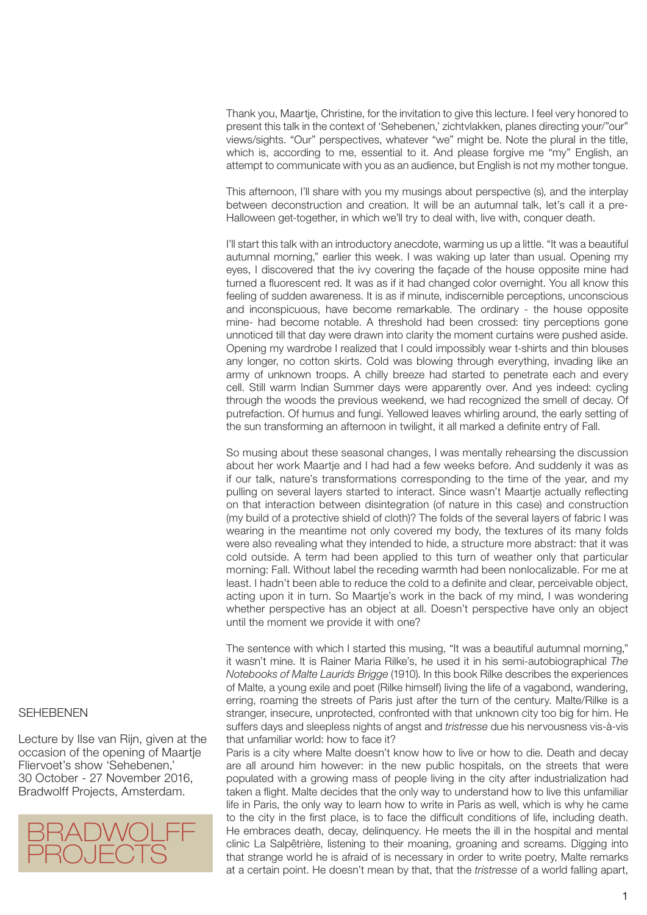Thank you, Maartje, Christine, for the invitation to give this lecture. I feel very honored to present this talk in the context of 'Sehebenen,' zichtvlakken, planes directing your/"our" views/sights. "Our" perspectives, whatever "we" might be. Note the plural in the title, which is, according to me, essential to it. And please forgive me "my" English, an attempt to communicate with you as an audience, but English is not my mother tongue.

This afternoon, I'll share with you my musings about perspective (s), and the interplay between deconstruction and creation. It will be an autumnal talk, let's call it a pre-Halloween get-together, in which we'll try to deal with, live with, conquer death.

I'll start this talk with an introductory anecdote, warming us up a little. "It was a beautiful autumnal morning," earlier this week. I was waking up later than usual. Opening my eyes, I discovered that the ivy covering the façade of the house opposite mine had turned a fluorescent red. It was as if it had changed color overnight. You all know this feeling of sudden awareness. It is as if minute, indiscernible perceptions, unconscious and inconspicuous, have become remarkable. The ordinary - the house opposite mine- had become notable. A threshold had been crossed: tiny perceptions gone unnoticed till that day were drawn into clarity the moment curtains were pushed aside. Opening my wardrobe I realized that I could impossibly wear t-shirts and thin blouses any longer, no cotton skirts. Cold was blowing through everything, invading like an army of unknown troops. A chilly breeze had started to penetrate each and every cell. Still warm Indian Summer days were apparently over. And yes indeed: cycling through the woods the previous weekend, we had recognized the smell of decay. Of putrefaction. Of humus and fungi. Yellowed leaves whirling around, the early setting of the sun transforming an afternoon in twilight, it all marked a definite entry of Fall.

So musing about these seasonal changes, I was mentally rehearsing the discussion about her work Maartje and I had had a few weeks before. And suddenly it was as if our talk, nature's transformations corresponding to the time of the year, and my pulling on several layers started to interact. Since wasn't Maartje actually reflecting on that interaction between disintegration (of nature in this case) and construction (my build of a protective shield of cloth)? The folds of the several layers of fabric I was wearing in the meantime not only covered my body, the textures of its many folds were also revealing what they intended to hide, a structure more abstract: that it was cold outside. A term had been applied to this turn of weather only that particular morning: Fall. Without label the receding warmth had been nonlocalizable. For me at least. I hadn't been able to reduce the cold to a definite and clear, perceivable object, acting upon it in turn. So Maartje's work in the back of my mind, I was wondering whether perspective has an object at all. Doesn't perspective have only an object until the moment we provide it with one?

The sentence with which I started this musing, "It was a beautiful autumnal morning," it wasn't mine. It is Rainer Maria Rilke's, he used it in his semi-autobiographical *The Notebooks of Malte Laurids Brigge* (1910). In this book Rilke describes the experiences of Malte, a young exile and poet (Rilke himself) living the life of a vagabond, wandering, erring, roaming the streets of Paris just after the turn of the century. Malte/Rilke is a stranger, insecure, unprotected, confronted with that unknown city too big for him. He suffers days and sleepless nights of angst and *tristresse* due his nervousness vis-à-vis that unfamiliar world: how to face it?

Paris is a city where Malte doesn't know how to live or how to die. Death and decay are all around him however: in the new public hospitals, on the streets that were populated with a growing mass of people living in the city after industrialization had taken a flight. Malte decides that the only way to understand how to live this unfamiliar life in Paris, the only way to learn how to write in Paris as well, which is why he came to the city in the first place, is to face the difficult conditions of life, including death. He embraces death, decay, delinquency. He meets the ill in the hospital and mental clinic La Salpêtrière, listening to their moaning, groaning and screams. Digging into that strange world he is afraid of is necessary in order to write poetry, Malte remarks at a certain point. He doesn't mean by that, that the *tristresse* of a world falling apart,

## SEHEBENEN

Lecture by Ilse van Rijn, given at the occasion of the opening of Maartje Fliervoet's show 'Sehebenen,' 30 October - 27 November 2016, Bradwolff Projects, Amsterdam.

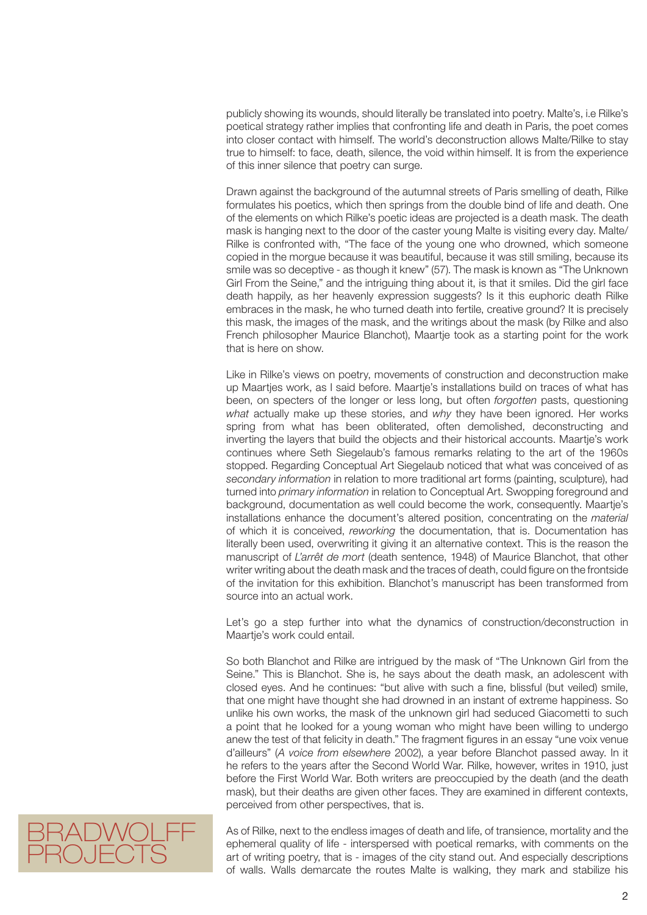publicly showing its wounds, should literally be translated into poetry. Malte's, i.e Rilke's poetical strategy rather implies that confronting life and death in Paris, the poet comes into closer contact with himself. The world's deconstruction allows Malte/Rilke to stay true to himself: to face, death, silence, the void within himself. It is from the experience of this inner silence that poetry can surge.

Drawn against the background of the autumnal streets of Paris smelling of death, Rilke formulates his poetics, which then springs from the double bind of life and death. One of the elements on which Rilke's poetic ideas are projected is a death mask. The death mask is hanging next to the door of the caster young Malte is visiting every day. Malte/ Rilke is confronted with, "The face of the young one who drowned, which someone copied in the morgue because it was beautiful, because it was still smiling, because its smile was so deceptive - as though it knew" (57). The mask is known as "The Unknown Girl From the Seine," and the intriguing thing about it, is that it smiles. Did the girl face death happily, as her heavenly expression suggests? Is it this euphoric death Rilke embraces in the mask, he who turned death into fertile, creative ground? It is precisely this mask, the images of the mask, and the writings about the mask (by Rilke and also French philosopher Maurice Blanchot), Maartje took as a starting point for the work that is here on show.

Like in Rilke's views on poetry, movements of construction and deconstruction make up Maartjes work, as I said before. Maartje's installations build on traces of what has been, on specters of the longer or less long, but often *forgotten* pasts, questioning *what* actually make up these stories, and *why* they have been ignored. Her works spring from what has been obliterated, often demolished, deconstructing and inverting the layers that build the objects and their historical accounts. Maartje's work continues where Seth Siegelaub's famous remarks relating to the art of the 1960s stopped. Regarding Conceptual Art Siegelaub noticed that what was conceived of as *secondary information* in relation to more traditional art forms (painting, sculpture), had turned into *primary information* in relation to Conceptual Art. Swopping foreground and background, documentation as well could become the work, consequently. Maartje's installations enhance the document's altered position, concentrating on the *material*  of which it is conceived, *reworking* the documentation, that is. Documentation has literally been used, overwriting it giving it an alternative context. This is the reason the manuscript of *L'arrêt de mort* (death sentence, 1948) of Maurice Blanchot, that other writer writing about the death mask and the traces of death, could figure on the frontside of the invitation for this exhibition. Blanchot's manuscript has been transformed from source into an actual work.

Let's go a step further into what the dynamics of construction/deconstruction in Maartje's work could entail.

So both Blanchot and Rilke are intrigued by the mask of "The Unknown Girl from the Seine." This is Blanchot. She is, he says about the death mask, an adolescent with closed eyes. And he continues: "but alive with such a fine, blissful (but veiled) smile, that one might have thought she had drowned in an instant of extreme happiness. So unlike his own works, the mask of the unknown girl had seduced Giacometti to such a point that he looked for a young woman who might have been willing to undergo anew the test of that felicity in death." The fragment figures in an essay "une voix venue d'ailleurs" (*A voice from elsewhere* 2002), a year before Blanchot passed away. In it he refers to the years after the Second World War. Rilke, however, writes in 1910, just before the First World War. Both writers are preoccupied by the death (and the death mask), but their deaths are given other faces. They are examined in different contexts, perceived from other perspectives, that is.



As of Rilke, next to the endless images of death and life, of transience, mortality and the ephemeral quality of life - interspersed with poetical remarks, with comments on the art of writing poetry, that is - images of the city stand out. And especially descriptions of walls. Walls demarcate the routes Malte is walking, they mark and stabilize his